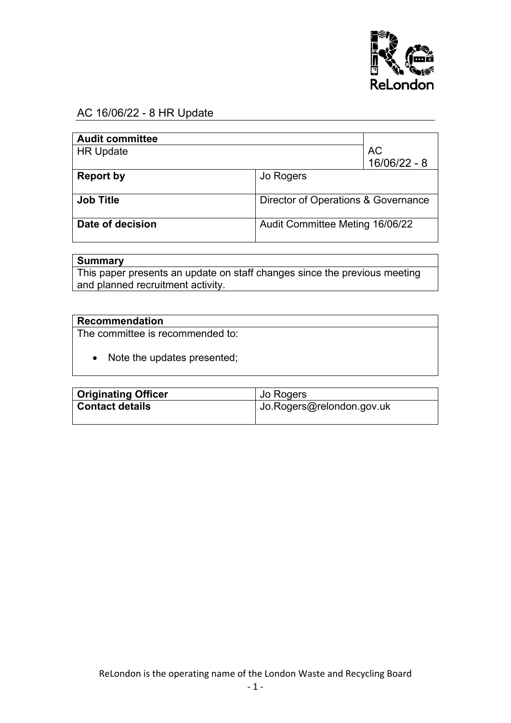

### AC 16/06/22 - 8 HR Update

| <b>Audit committee</b> |                                     |                      |
|------------------------|-------------------------------------|----------------------|
| <b>HR Update</b>       |                                     | AC<br>$16/06/22 - 8$ |
| <b>Report by</b>       | Jo Rogers                           |                      |
| <b>Job Title</b>       | Director of Operations & Governance |                      |
| Date of decision       | Audit Committee Meting 16/06/22     |                      |

## **Summary**

This paper presents an update on staff changes since the previous meeting and planned recruitment activity.

#### **Recommendation**

The committee is recommended to:

• Note the updates presented;

| <b>Originating Officer</b> | Jo Rogers                 |  |
|----------------------------|---------------------------|--|
| <b>Contact details</b>     | Jo.Rogers@relondon.gov.uk |  |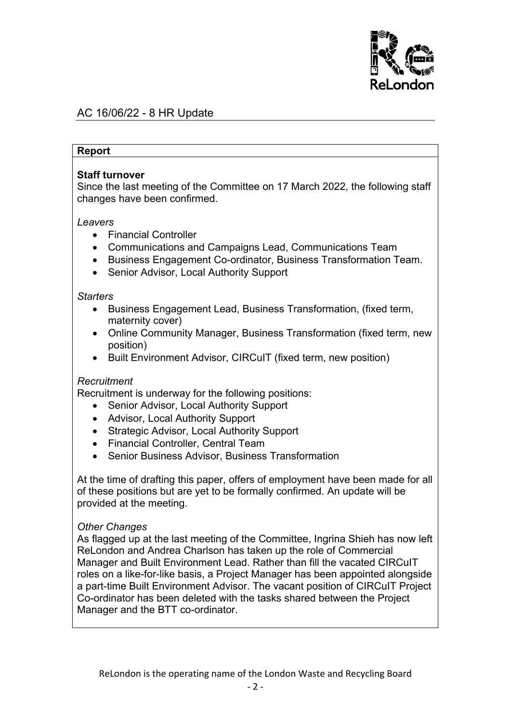

## AC 16/06/22 - 8 HR Update

#### **Report**

#### **Staff turnover**

Since the last meeting of the Committee on 17 March 2022, the following staff changes have been confirmed.

#### *Leavers*

- Financial Controller
- Communications and Campaigns Lead, Communications Team
- Business Engagement Co-ordinator, Business Transformation Team.
- Senior Advisor, Local Authority Support

#### *Starters*

- Business Engagement Lead, Business Transformation, (fixed term, maternity cover)
- Online Community Manager, Business Transformation (fixed term, new position)
- Built Environment Advisor, CIRCuIT (fixed term, new position)

#### *Recruitment*

Recruitment is underway for the following positions:

- Senior Advisor, Local Authority Support
- Advisor, Local Authority Support
- Strategic Advisor, Local Authority Support
- Financial Controller, Central Team
- Senior Business Advisor, Business Transformation

At the time of drafting this paper, offers of employment have been made for all of these positions but are yet to be formally confirmed. An update will be provided at the meeting.

#### *Other Changes*

As flagged up at the last meeting of the Committee, Ingrina Shieh has now left ReLondon and Andrea Charlson has taken up the role of Commercial Manager and Built Environment Lead. Rather than fill the vacated CIRCuIT roles on a like-for-like basis, a Project Manager has been appointed alongside a part-time Built Environment Advisor. The vacant position of CIRCuIT Project Co-ordinator has been deleted with the tasks shared between the Project Manager and the BTT co-ordinator.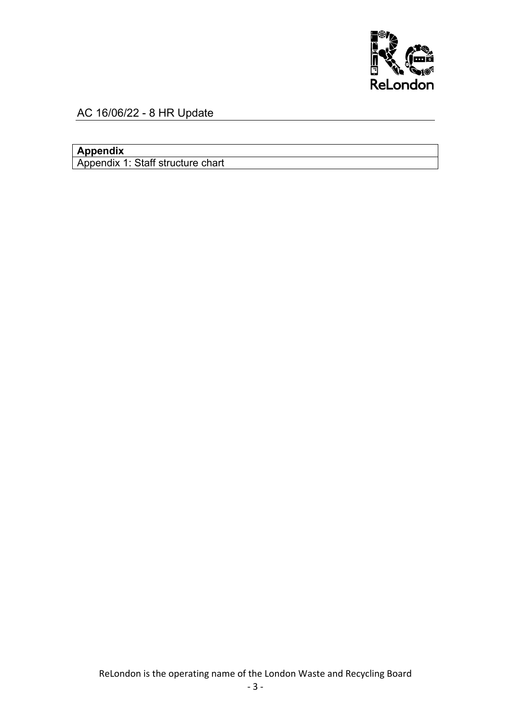

# AC 16/06/22 - 8 HR Update

# **Appendix**

Appendix 1: Staff structure chart